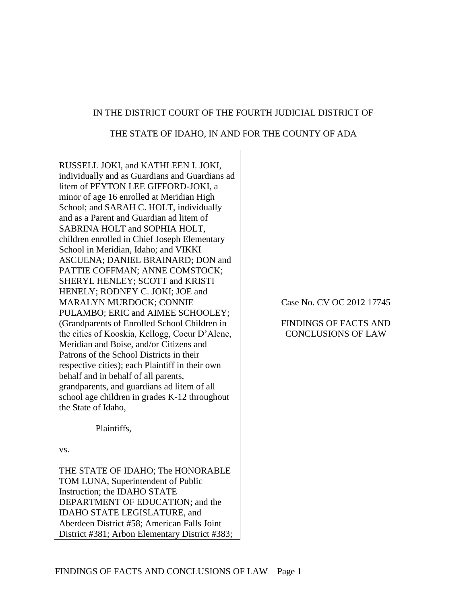### IN THE DISTRICT COURT OF THE FOURTH JUDICIAL DISTRICT OF

#### THE STATE OF IDAHO, IN AND FOR THE COUNTY OF ADA

RUSSELL JOKI, and KATHLEEN I. JOKI, individually and as Guardians and Guardians ad litem of PEYTON LEE GIFFORD-JOKI, a minor of age 16 enrolled at Meridian High School; and SARAH C. HOLT, individually and as a Parent and Guardian ad litem of SABRINA HOLT and SOPHIA HOLT, children enrolled in Chief Joseph Elementary School in Meridian, Idaho; and VIKKI ASCUENA; DANIEL BRAINARD; DON and PATTIE COFFMAN; ANNE COMSTOCK; SHERYL HENLEY; SCOTT and KRISTI HENELY; RODNEY C. JOKI; JOE and MARALYN MURDOCK; CONNIE PULAMBO; ERIC and AIMEE SCHOOLEY; (Grandparents of Enrolled School Children in the cities of Kooskia, Kellogg, Coeur D'Alene, Meridian and Boise, and/or Citizens and Patrons of the School Districts in their respective cities); each Plaintiff in their own behalf and in behalf of all parents, grandparents, and guardians ad litem of all school age children in grades K-12 throughout the State of Idaho,

Plaintiffs,

vs.

THE STATE OF IDAHO; The HONORABLE TOM LUNA, Superintendent of Public Instruction; the IDAHO STATE DEPARTMENT OF EDUCATION; and the IDAHO STATE LEGISLATURE, and Aberdeen District #58; American Falls Joint District #381; Arbon Elementary District #383; Case No. CV OC 2012 17745

FINDINGS OF FACTS AND CONCLUSIONS OF LAW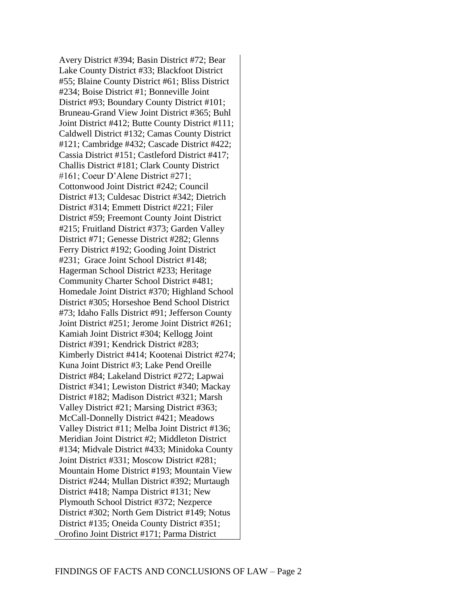Avery District #394; Basin District #72; Bear Lake County District #33; Blackfoot District #55; Blaine County District #61; Bliss District #234; Boise District #1; Bonneville Joint District #93; Boundary County District #101; Bruneau-Grand View Joint District #365; Buhl Joint District #412; Butte County District #111; Caldwell District #132; Camas County District #121; Cambridge #432; Cascade District #422; Cassia District #151; Castleford District #417; Challis District #181; Clark County District #161; Coeur D'Alene District #271; Cottonwood Joint District #242; Council District #13; Culdesac District #342; Dietrich District #314; Emmett District #221; Filer District #59; Freemont County Joint District #215; Fruitland District #373; Garden Valley District #71; Genesse District #282; Glenns Ferry District #192; Gooding Joint District #231; Grace Joint School District #148; Hagerman School District #233; Heritage Community Charter School District #481; Homedale Joint District #370; Highland School District #305; Horseshoe Bend School District #73; Idaho Falls District #91; Jefferson County Joint District #251; Jerome Joint District #261; Kamiah Joint District #304; Kellogg Joint District #391; Kendrick District #283; Kimberly District #414; Kootenai District #274; Kuna Joint District #3; Lake Pend Oreille District #84; Lakeland District #272; Lapwai District #341; Lewiston District #340; Mackay District #182; Madison District #321; Marsh Valley District #21; Marsing District #363; McCall-Donnelly District #421; Meadows Valley District #11; Melba Joint District #136; Meridian Joint District #2; Middleton District #134; Midvale District #433; Minidoka County Joint District #331; Moscow District #281; Mountain Home District #193; Mountain View District #244; Mullan District #392; Murtaugh District #418; Nampa District #131; New Plymouth School District #372; Nezperce District #302; North Gem District #149; Notus District #135; Oneida County District #351; Orofino Joint District #171; Parma District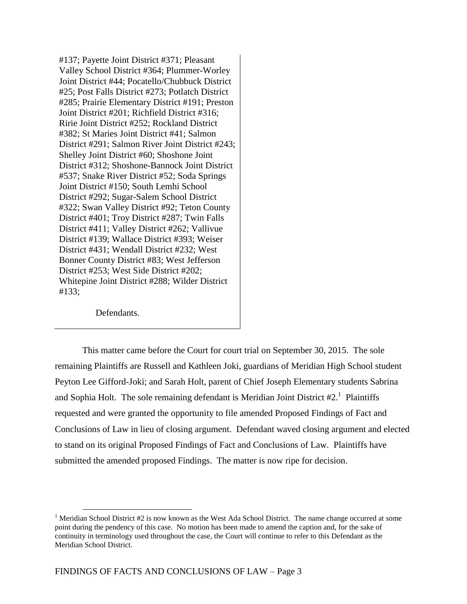#137; Payette Joint District #371; Pleasant Valley School District #364; Plummer-Worley Joint District #44; Pocatello/Chubbuck District #25; Post Falls District #273; Potlatch District #285; Prairie Elementary District #191; Preston Joint District #201; Richfield District #316; Ririe Joint District #252; Rockland District #382; St Maries Joint District #41; Salmon District #291; Salmon River Joint District #243; Shelley Joint District #60; Shoshone Joint District #312; Shoshone-Bannock Joint District #537; Snake River District #52; Soda Springs Joint District #150; South Lemhi School District #292; Sugar-Salem School District #322; Swan Valley District #92; Teton County District #401; Troy District #287; Twin Falls District #411; Valley District #262; Vallivue District #139; Wallace District #393; Weiser District #431; Wendall District #232; West Bonner County District #83; West Jefferson District #253; West Side District #202; Whitepine Joint District #288; Wilder District #133;

Defendants.

 $\overline{a}$ 

This matter came before the Court for court trial on September 30, 2015. The sole remaining Plaintiffs are Russell and Kathleen Joki, guardians of Meridian High School student Peyton Lee Gifford-Joki; and Sarah Holt, parent of Chief Joseph Elementary students Sabrina and Sophia Holt. The sole remaining defendant is Meridian Joint District  $#2<sup>1</sup>$  Plaintiffs requested and were granted the opportunity to file amended Proposed Findings of Fact and Conclusions of Law in lieu of closing argument. Defendant waved closing argument and elected to stand on its original Proposed Findings of Fact and Conclusions of Law. Plaintiffs have submitted the amended proposed Findings. The matter is now ripe for decision.

<sup>&</sup>lt;sup>1</sup> Meridian School District  $#2$  is now known as the West Ada School District. The name change occurred at some point during the pendency of this case. No motion has been made to amend the caption and, for the sake of continuity in terminology used throughout the case, the Court will continue to refer to this Defendant as the Meridian School District.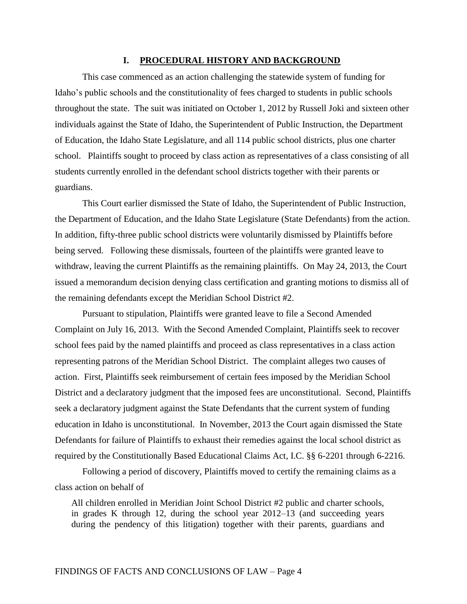#### **I. PROCEDURAL HISTORY AND BACKGROUND**

This case commenced as an action challenging the statewide system of funding for Idaho's public schools and the constitutionality of fees charged to students in public schools throughout the state. The suit was initiated on October 1, 2012 by Russell Joki and sixteen other individuals against the State of Idaho, the Superintendent of Public Instruction, the Department of Education, the Idaho State Legislature, and all 114 public school districts, plus one charter school. Plaintiffs sought to proceed by class action as representatives of a class consisting of all students currently enrolled in the defendant school districts together with their parents or guardians.

This Court earlier dismissed the State of Idaho, the Superintendent of Public Instruction, the Department of Education, and the Idaho State Legislature (State Defendants) from the action. In addition, fifty-three public school districts were voluntarily dismissed by Plaintiffs before being served. Following these dismissals, fourteen of the plaintiffs were granted leave to withdraw, leaving the current Plaintiffs as the remaining plaintiffs. On May 24, 2013, the Court issued a memorandum decision denying class certification and granting motions to dismiss all of the remaining defendants except the Meridian School District #2.

Pursuant to stipulation, Plaintiffs were granted leave to file a Second Amended Complaint on July 16, 2013. With the Second Amended Complaint, Plaintiffs seek to recover school fees paid by the named plaintiffs and proceed as class representatives in a class action representing patrons of the Meridian School District. The complaint alleges two causes of action. First, Plaintiffs seek reimbursement of certain fees imposed by the Meridian School District and a declaratory judgment that the imposed fees are unconstitutional. Second, Plaintiffs seek a declaratory judgment against the State Defendants that the current system of funding education in Idaho is unconstitutional. In November, 2013 the Court again dismissed the State Defendants for failure of Plaintiffs to exhaust their remedies against the local school district as required by the Constitutionally Based Educational Claims Act, I.C. §§ 6-2201 through 6-2216.

Following a period of discovery, Plaintiffs moved to certify the remaining claims as a class action on behalf of

All children enrolled in Meridian Joint School District #2 public and charter schools, in grades K through 12, during the school year 2012–13 (and succeeding years during the pendency of this litigation) together with their parents, guardians and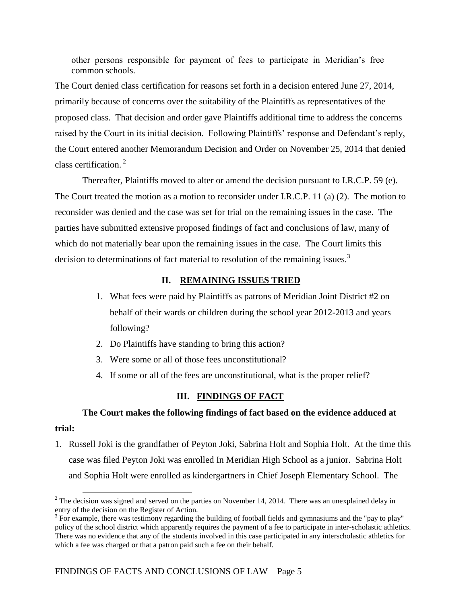other persons responsible for payment of fees to participate in Meridian's free common schools.

The Court denied class certification for reasons set forth in a decision entered June 27, 2014, primarily because of concerns over the suitability of the Plaintiffs as representatives of the proposed class. That decision and order gave Plaintiffs additional time to address the concerns raised by the Court in its initial decision. Following Plaintiffs' response and Defendant's reply, the Court entered another Memorandum Decision and Order on November 25, 2014 that denied class certification. <sup>2</sup>

Thereafter, Plaintiffs moved to alter or amend the decision pursuant to I.R.C.P. 59 (e). The Court treated the motion as a motion to reconsider under I.R.C.P. 11 (a) (2). The motion to reconsider was denied and the case was set for trial on the remaining issues in the case. The parties have submitted extensive proposed findings of fact and conclusions of law, many of which do not materially bear upon the remaining issues in the case. The Court limits this decision to determinations of fact material to resolution of the remaining issues.<sup>3</sup>

#### **II. REMAINING ISSUES TRIED**

- 1. What fees were paid by Plaintiffs as patrons of Meridian Joint District #2 on behalf of their wards or children during the school year 2012-2013 and years following?
- 2. Do Plaintiffs have standing to bring this action?
- 3. Were some or all of those fees unconstitutional?
- 4. If some or all of the fees are unconstitutional, what is the proper relief?

#### **III. FINDINGS OF FACT**

# **The Court makes the following findings of fact based on the evidence adduced at trial:**

1. Russell Joki is the grandfather of Peyton Joki, Sabrina Holt and Sophia Holt. At the time this case was filed Peyton Joki was enrolled In Meridian High School as a junior. Sabrina Holt and Sophia Holt were enrolled as kindergartners in Chief Joseph Elementary School. The

<sup>&</sup>lt;sup>2</sup> The decision was signed and served on the parties on November 14, 2014. There was an unexplained delay in entry of the decision on the Register of Action.

 $3$  For example, there was testimony regarding the building of football fields and gymnasiums and the "pay to play" policy of the school district which apparently requires the payment of a fee to participate in inter-scholastic athletics. There was no evidence that any of the students involved in this case participated in any interscholastic athletics for which a fee was charged or that a patron paid such a fee on their behalf.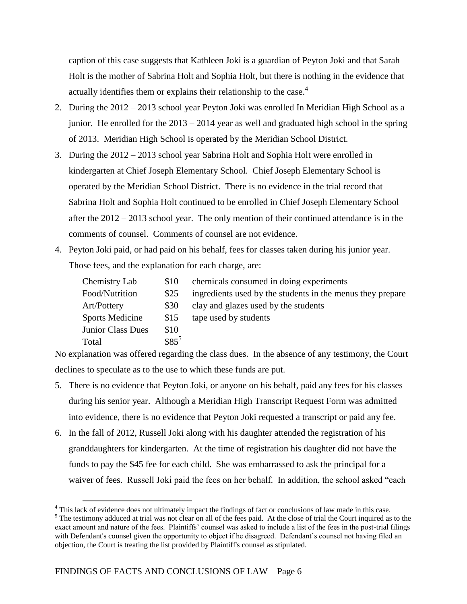caption of this case suggests that Kathleen Joki is a guardian of Peyton Joki and that Sarah Holt is the mother of Sabrina Holt and Sophia Holt, but there is nothing in the evidence that actually identifies them or explains their relationship to the case.<sup>4</sup>

- 2. During the 2012 2013 school year Peyton Joki was enrolled In Meridian High School as a junior. He enrolled for the 2013 – 2014 year as well and graduated high school in the spring of 2013. Meridian High School is operated by the Meridian School District.
- 3. During the 2012 2013 school year Sabrina Holt and Sophia Holt were enrolled in kindergarten at Chief Joseph Elementary School. Chief Joseph Elementary School is operated by the Meridian School District. There is no evidence in the trial record that Sabrina Holt and Sophia Holt continued to be enrolled in Chief Joseph Elementary School after the 2012 – 2013 school year. The only mention of their continued attendance is in the comments of counsel. Comments of counsel are not evidence.
- 4. Peyton Joki paid, or had paid on his behalf, fees for classes taken during his junior year. Those fees, and the explanation for each charge, are:

| Chemistry Lab          | \$10        | chemicals consumed in doing experiments                    |
|------------------------|-------------|------------------------------------------------------------|
| Food/Nutrition         | \$25        | ingredients used by the students in the menus they prepare |
| Art/Pottery            | <b>\$30</b> | clay and glazes used by the students                       |
| <b>Sports Medicine</b> | \$15        | tape used by students                                      |
| Junior Class Dues      | \$10        |                                                            |
| Total                  | $$85^5$     |                                                            |

No explanation was offered regarding the class dues. In the absence of any testimony, the Court declines to speculate as to the use to which these funds are put.

- 5. There is no evidence that Peyton Joki, or anyone on his behalf, paid any fees for his classes during his senior year. Although a Meridian High Transcript Request Form was admitted into evidence, there is no evidence that Peyton Joki requested a transcript or paid any fee.
- 6. In the fall of 2012, Russell Joki along with his daughter attended the registration of his granddaughters for kindergarten. At the time of registration his daughter did not have the funds to pay the \$45 fee for each child. She was embarrassed to ask the principal for a waiver of fees. Russell Joki paid the fees on her behalf. In addition, the school asked "each

<sup>&</sup>lt;sup>4</sup> This lack of evidence does not ultimately impact the findings of fact or conclusions of law made in this case.

<sup>&</sup>lt;sup>5</sup> The testimony adduced at trial was not clear on all of the fees paid. At the close of trial the Court inquired as to the exact amount and nature of the fees. Plaintiffs' counsel was asked to include a list of the fees in the post-trial filings with Defendant's counsel given the opportunity to object if he disagreed. Defendant's counsel not having filed an objection, the Court is treating the list provided by Plaintiff's counsel as stipulated.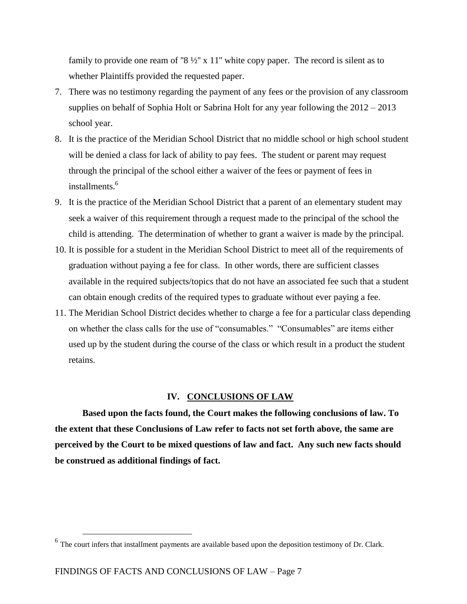family to provide one ream of "8  $\frac{1}{2}$ " x 11" white copy paper. The record is silent as to whether Plaintiffs provided the requested paper.

- 7. There was no testimony regarding the payment of any fees or the provision of any classroom supplies on behalf of Sophia Holt or Sabrina Holt for any year following the 2012 – 2013 school year.
- 8. It is the practice of the Meridian School District that no middle school or high school student will be denied a class for lack of ability to pay fees. The student or parent may request through the principal of the school either a waiver of the fees or payment of fees in installments.<sup>6</sup>
- 9. It is the practice of the Meridian School District that a parent of an elementary student may seek a waiver of this requirement through a request made to the principal of the school the child is attending. The determination of whether to grant a waiver is made by the principal.
- 10. It is possible for a student in the Meridian School District to meet all of the requirements of graduation without paying a fee for class. In other words, there are sufficient classes available in the required subjects/topics that do not have an associated fee such that a student can obtain enough credits of the required types to graduate without ever paying a fee.
- 11. The Meridian School District decides whether to charge a fee for a particular class depending on whether the class calls for the use of "consumables." "Consumables" are items either used up by the student during the course of the class or which result in a product the student retains.

#### **IV. CONCLUSIONS OF LAW**

**Based upon the facts found, the Court makes the following conclusions of law. To the extent that these Conclusions of Law refer to facts not set forth above, the same are perceived by the Court to be mixed questions of law and fact. Any such new facts should be construed as additional findings of fact.**

<sup>&</sup>lt;sup>6</sup> The court infers that installment payments are available based upon the deposition testimony of Dr. Clark.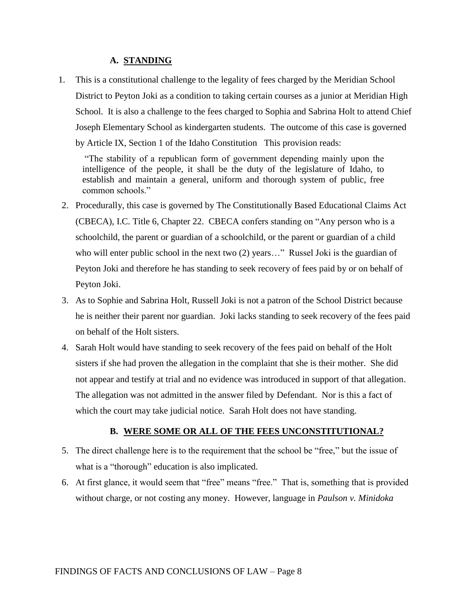### **A. STANDING**

1. This is a constitutional challenge to the legality of fees charged by the Meridian School District to Peyton Joki as a condition to taking certain courses as a junior at Meridian High School. It is also a challenge to the fees charged to Sophia and Sabrina Holt to attend Chief Joseph Elementary School as kindergarten students. The outcome of this case is governed by Article IX, Section 1 of the Idaho Constitution This provision reads:

"The stability of a republican form of government depending mainly upon the intelligence of the people, it shall be the duty of the legislature of Idaho, to establish and maintain a general, uniform and thorough system of public, free common schools."

- 2. Procedurally, this case is governed by The Constitutionally Based Educational Claims Act (CBECA), I.C. Title 6, Chapter 22. CBECA confers standing on "Any person who is a schoolchild, the parent or guardian of a schoolchild, or the parent or guardian of a child who will enter public school in the next two (2) years..." Russel Joki is the guardian of Peyton Joki and therefore he has standing to seek recovery of fees paid by or on behalf of Peyton Joki.
- 3. As to Sophie and Sabrina Holt, Russell Joki is not a patron of the School District because he is neither their parent nor guardian. Joki lacks standing to seek recovery of the fees paid on behalf of the Holt sisters.
- 4. Sarah Holt would have standing to seek recovery of the fees paid on behalf of the Holt sisters if she had proven the allegation in the complaint that she is their mother. She did not appear and testify at trial and no evidence was introduced in support of that allegation. The allegation was not admitted in the answer filed by Defendant. Nor is this a fact of which the court may take judicial notice. Sarah Holt does not have standing.

#### **B. WERE SOME OR ALL OF THE FEES UNCONSTITUTIONAL?**

- 5. The direct challenge here is to the requirement that the school be "free," but the issue of what is a "thorough" education is also implicated.
- 6. At first glance, it would seem that "free" means "free." That is, something that is provided without charge, or not costing any money. However, language in *Paulson v. Minidoka*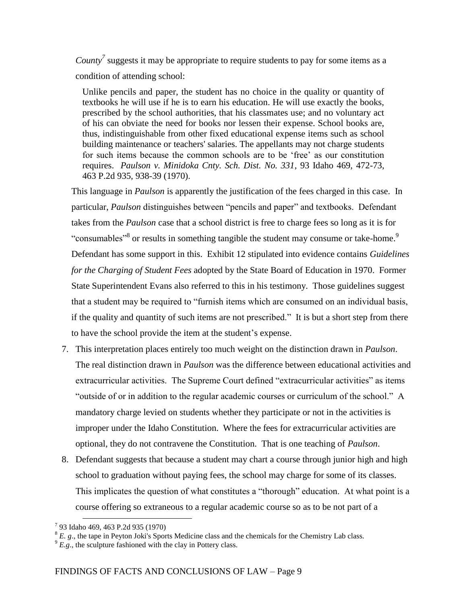*County<sup>7</sup>* suggests it may be appropriate to require students to pay for some items as a condition of attending school:

Unlike pencils and paper, the student has no choice in the quality or quantity of textbooks he will use if he is to earn his education. He will use exactly the books, prescribed by the school authorities, that his classmates use; and no voluntary act of his can obviate the need for books nor lessen their expense. School books are, thus, indistinguishable from other fixed educational expense items such as school building maintenance or teachers' salaries. The appellants may not charge students for such items because the common schools are to be 'free' as our constitution requires. *Paulson v. Minidoka Cnty. Sch. Dist. No. 331*, 93 Idaho 469, 472-73, 463 P.2d 935, 938-39 (1970).

This language in *Paulson* is apparently the justification of the fees charged in this case. In particular, *Paulson* distinguishes between "pencils and paper" and textbooks. Defendant takes from the *Paulson* case that a school district is free to charge fees so long as it is for "consumables"<sup>8</sup> or results in something tangible the student may consume or take-home.<sup>9</sup> Defendant has some support in this. Exhibit 12 stipulated into evidence contains *Guidelines for the Charging of Student Fees* adopted by the State Board of Education in 1970. Former State Superintendent Evans also referred to this in his testimony. Those guidelines suggest that a student may be required to "furnish items which are consumed on an individual basis, if the quality and quantity of such items are not prescribed." It is but a short step from there to have the school provide the item at the student's expense.

- 7. This interpretation places entirely too much weight on the distinction drawn in *Paulson*. The real distinction drawn in *Paulson* was the difference between educational activities and extracurricular activities. The Supreme Court defined "extracurricular activities" as items "outside of or in addition to the regular academic courses or curriculum of the school." A mandatory charge levied on students whether they participate or not in the activities is improper under the Idaho Constitution. Where the fees for extracurricular activities are optional, they do not contravene the Constitution. That is one teaching of *Paulson*.
- 8. Defendant suggests that because a student may chart a course through junior high and high school to graduation without paying fees, the school may charge for some of its classes. This implicates the question of what constitutes a "thorough" education. At what point is a course offering so extraneous to a regular academic course so as to be not part of a

<sup>7</sup> 93 Idaho 469, 463 P.2d 935 (1970)

<sup>&</sup>lt;sup>8</sup> E. g., the tape in Peyton Joki's Sports Medicine class and the chemicals for the Chemistry Lab class.

 $9$   $E.g.,$  the sculpture fashioned with the clay in Pottery class.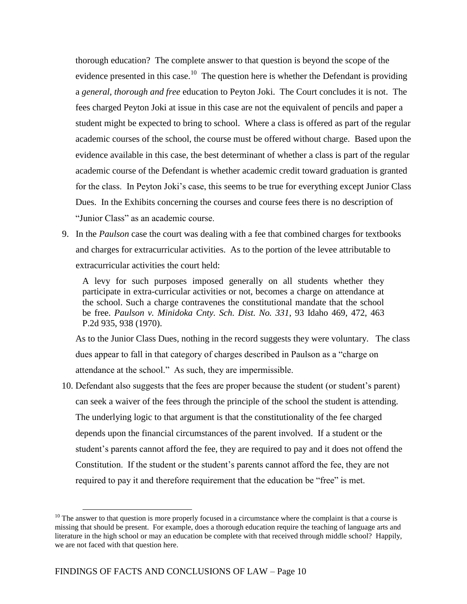thorough education? The complete answer to that question is beyond the scope of the evidence presented in this case.<sup>10</sup> The question here is whether the Defendant is providing a *general, thorough and free* education to Peyton Joki. The Court concludes it is not. The fees charged Peyton Joki at issue in this case are not the equivalent of pencils and paper a student might be expected to bring to school. Where a class is offered as part of the regular academic courses of the school, the course must be offered without charge. Based upon the evidence available in this case, the best determinant of whether a class is part of the regular academic course of the Defendant is whether academic credit toward graduation is granted for the class. In Peyton Joki's case, this seems to be true for everything except Junior Class Dues. In the Exhibits concerning the courses and course fees there is no description of "Junior Class" as an academic course.

9. In the *Paulson* case the court was dealing with a fee that combined charges for textbooks and charges for extracurricular activities. As to the portion of the levee attributable to extracurricular activities the court held:

A levy for such purposes imposed generally on all students whether they participate in extra-curricular activities or not, becomes a charge on attendance at the school. Such a charge contravenes the constitutional mandate that the school be free. *Paulson v. Minidoka Cnty. Sch. Dist. No. 331*, 93 Idaho 469, 472, 463 P.2d 935, 938 (1970).

As to the Junior Class Dues, nothing in the record suggests they were voluntary. The class dues appear to fall in that category of charges described in Paulson as a "charge on attendance at the school." As such, they are impermissible.

10. Defendant also suggests that the fees are proper because the student (or student's parent) can seek a waiver of the fees through the principle of the school the student is attending. The underlying logic to that argument is that the constitutionality of the fee charged depends upon the financial circumstances of the parent involved. If a student or the student's parents cannot afford the fee, they are required to pay and it does not offend the Constitution. If the student or the student's parents cannot afford the fee, they are not required to pay it and therefore requirement that the education be "free" is met.

 $10$  The answer to that question is more properly focused in a circumstance where the complaint is that a course is missing that should be present. For example, does a thorough education require the teaching of language arts and literature in the high school or may an education be complete with that received through middle school? Happily, we are not faced with that question here.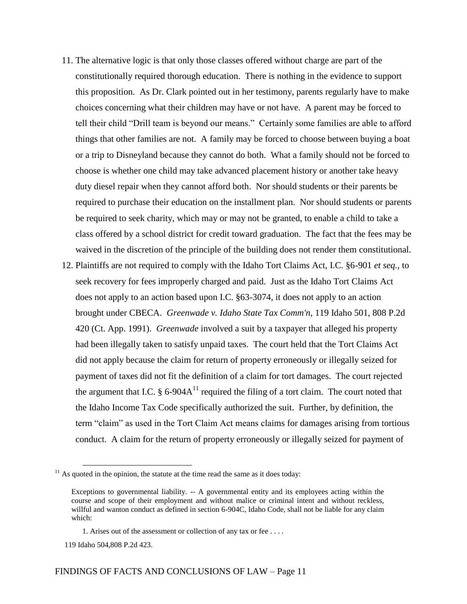- 11. The alternative logic is that only those classes offered without charge are part of the constitutionally required thorough education. There is nothing in the evidence to support this proposition. As Dr. Clark pointed out in her testimony, parents regularly have to make choices concerning what their children may have or not have. A parent may be forced to tell their child "Drill team is beyond our means." Certainly some families are able to afford things that other families are not. A family may be forced to choose between buying a boat or a trip to Disneyland because they cannot do both. What a family should not be forced to choose is whether one child may take advanced placement history or another take heavy duty diesel repair when they cannot afford both. Nor should students or their parents be required to purchase their education on the installment plan. Nor should students or parents be required to seek charity, which may or may not be granted, to enable a child to take a class offered by a school district for credit toward graduation. The fact that the fees may be waived in the discretion of the principle of the building does not render them constitutional.
- 12. Plaintiffs are not required to comply with the Idaho Tort Claims Act, I.C. §6-901 *et seq.*, to seek recovery for fees improperly charged and paid. Just as the Idaho Tort Claims Act does not apply to an action based upon I.C. §63-3074, it does not apply to an action brought under CBECA. *Greenwade v. Idaho State Tax Comm'n,* 119 Idaho 501, 808 P.2d 420 (Ct. App. 1991). *Greenwade* involved a suit by a taxpayer that alleged his property had been illegally taken to satisfy unpaid taxes. The court held that the Tort Claims Act did not apply because the claim for return of property erroneously or illegally seized for payment of taxes did not fit the definition of a claim for tort damages. The court rejected the argument that I.C.  $\S 6$ -904A<sup>11</sup> required the filing of a tort claim. The court noted that the Idaho Income Tax Code specifically authorized the suit. Further, by definition, the term "claim" as used in the Tort Claim Act means claims for damages arising from tortious conduct. A claim for the return of property erroneously or illegally seized for payment of

 $11$  As quoted in the opinion, the statute at the time read the same as it does today:

Exceptions to governmental liability. -- A governmental entity and its employees acting within the course and scope of their employment and without malice or criminal intent and without reckless, willful and wanton conduct as defined in section 6-904C, Idaho Code, shall not be liable for any claim which:

<sup>1.</sup> Arises out of the assessment or collection of any tax or fee . . . .

 <sup>119</sup> Idaho 504,808 P.2d 423.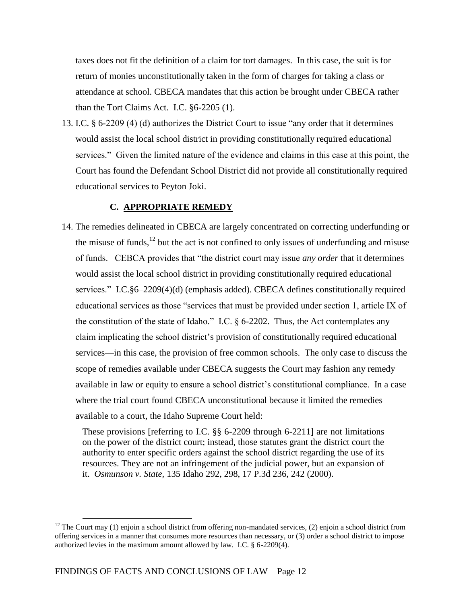taxes does not fit the definition of a claim for tort damages. In this case, the suit is for return of monies unconstitutionally taken in the form of charges for taking a class or attendance at school. CBECA mandates that this action be brought under CBECA rather than the Tort Claims Act. I.C. §6-2205 (1).

13. I.C. § 6-2209 (4) (d) authorizes the District Court to issue "any order that it determines would assist the local school district in providing constitutionally required educational services." Given the limited nature of the evidence and claims in this case at this point, the Court has found the Defendant School District did not provide all constitutionally required educational services to Peyton Joki.

#### **C. APPROPRIATE REMEDY**

14. The remedies delineated in CBECA are largely concentrated on correcting underfunding or the misuse of funds, $12$  but the act is not confined to only issues of underfunding and misuse of funds. CEBCA provides that "the district court may issue *any order* that it determines would assist the local school district in providing constitutionally required educational services." I.C.§6–2209(4)(d) (emphasis added). CBECA defines constitutionally required educational services as those "services that must be provided under section 1, article IX of the constitution of the state of Idaho." I.C. § 6-2202. Thus, the Act contemplates any claim implicating the school district's provision of constitutionally required educational services—in this case, the provision of free common schools. The only case to discuss the scope of remedies available under CBECA suggests the Court may fashion any remedy available in law or equity to ensure a school district's constitutional compliance. In a case where the trial court found CBECA unconstitutional because it limited the remedies available to a court, the Idaho Supreme Court held:

These provisions [referring to I.C. §§ 6-2209 through 6-2211] are not limitations on the power of the district court; instead, those statutes grant the district court the authority to enter specific orders against the school district regarding the use of its resources. They are not an infringement of the judicial power, but an expansion of it. *Osmunson v. State,* 135 Idaho 292, 298, 17 P.3d 236, 242 (2000).

<sup>&</sup>lt;sup>12</sup> The Court may (1) enjoin a school district from offering non-mandated services, (2) enjoin a school district from offering services in a manner that consumes more resources than necessary, or (3) order a school district to impose authorized levies in the maximum amount allowed by law. I.C. § 6-2209(4).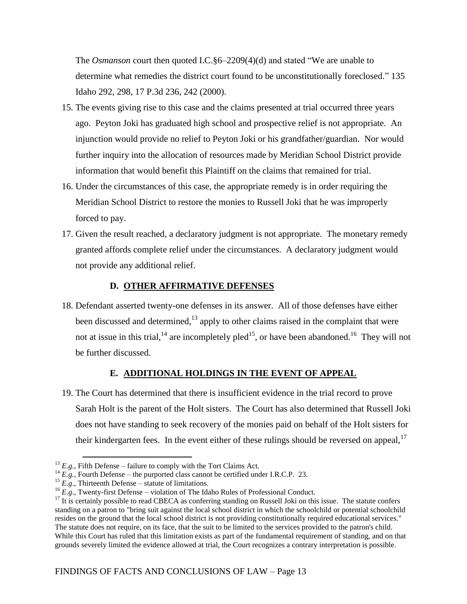The *Osmanson* court then quoted I.C.§6–2209(4)(d) and stated "We are unable to determine what remedies the district court found to be unconstitutionally foreclosed." 135 Idaho 292, 298, 17 P.3d 236, 242 (2000).

- 15. The events giving rise to this case and the claims presented at trial occurred three years ago. Peyton Joki has graduated high school and prospective relief is not appropriate. An injunction would provide no relief to Peyton Joki or his grandfather/guardian. Nor would further inquiry into the allocation of resources made by Meridian School District provide information that would benefit this Plaintiff on the claims that remained for trial.
- 16. Under the circumstances of this case, the appropriate remedy is in order requiring the Meridian School District to restore the monies to Russell Joki that he was improperly forced to pay.
- 17. Given the result reached, a declaratory judgment is not appropriate. The monetary remedy granted affords complete relief under the circumstances. A declaratory judgment would not provide any additional relief.

## **D. OTHER AFFIRMATIVE DEFENSES**

18. Defendant asserted twenty-one defenses in its answer. All of those defenses have either been discussed and determined,  $13$  apply to other claims raised in the complaint that were not at issue in this trial,<sup>14</sup> are incompletely pled<sup>15</sup>, or have been abandoned.<sup>16</sup> They will not be further discussed.

## **E. ADDITIONAL HOLDINGS IN THE EVENT OF APPEAL**

19. The Court has determined that there is insufficient evidence in the trial record to prove Sarah Holt is the parent of the Holt sisters. The Court has also determined that Russell Joki does not have standing to seek recovery of the monies paid on behalf of the Holt sisters for their kindergarten fees. In the event either of these rulings should be reversed on appeal.<sup>17</sup>

 $^{13}$  *E.g.*, Fifth Defense – failure to comply with the Tort Claims Act.

<sup>&</sup>lt;sup>14</sup>  $E.g.,$  Fourth Defense – the purported class cannot be certified under I.R.C.P. 23.

<sup>&</sup>lt;sup>15</sup>  $E.g.,$  Thirteenth Defense – statute of limitations.

<sup>&</sup>lt;sup>16</sup> *E.g.*, Twenty-first Defense – violation of The Idaho Rules of Professional Conduct.

 $17$  It is certainly possible to read CBECA as conferring standing on Russell Joki on this issue. The statute confers standing on a patron to "bring suit against the local school district in which the schoolchild or potential schoolchild resides on the ground that the local school district is not providing constitutionally required educational services." The statute does not require, on its face, that the suit to be limited to the services provided to the patron's child. While this Court has ruled that this limitation exists as part of the fundamental requirement of standing, and on that grounds severely limited the evidence allowed at trial, the Court recognizes a contrary interpretation is possible.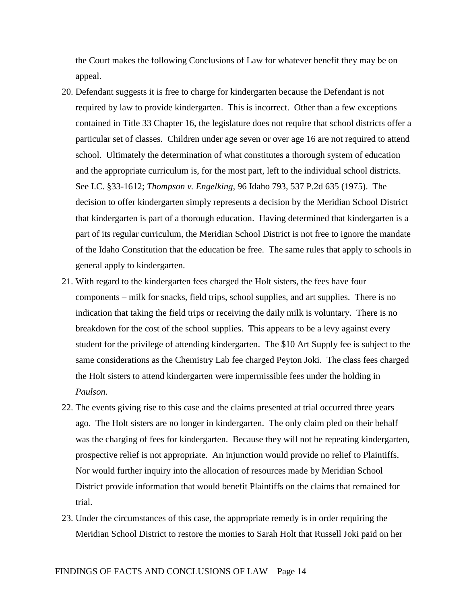the Court makes the following Conclusions of Law for whatever benefit they may be on appeal.

- 20. Defendant suggests it is free to charge for kindergarten because the Defendant is not required by law to provide kindergarten. This is incorrect. Other than a few exceptions contained in Title 33 Chapter 16, the legislature does not require that school districts offer a particular set of classes. Children under age seven or over age 16 are not required to attend school. Ultimately the determination of what constitutes a thorough system of education and the appropriate curriculum is, for the most part, left to the individual school districts. See I.C. §33-1612; *Thompson v. Engelking*, 96 Idaho 793, 537 P.2d 635 (1975). The decision to offer kindergarten simply represents a decision by the Meridian School District that kindergarten is part of a thorough education. Having determined that kindergarten is a part of its regular curriculum, the Meridian School District is not free to ignore the mandate of the Idaho Constitution that the education be free. The same rules that apply to schools in general apply to kindergarten.
- 21. With regard to the kindergarten fees charged the Holt sisters, the fees have four components – milk for snacks, field trips, school supplies, and art supplies. There is no indication that taking the field trips or receiving the daily milk is voluntary. There is no breakdown for the cost of the school supplies. This appears to be a levy against every student for the privilege of attending kindergarten. The \$10 Art Supply fee is subject to the same considerations as the Chemistry Lab fee charged Peyton Joki. The class fees charged the Holt sisters to attend kindergarten were impermissible fees under the holding in *Paulson*.
- 22. The events giving rise to this case and the claims presented at trial occurred three years ago. The Holt sisters are no longer in kindergarten. The only claim pled on their behalf was the charging of fees for kindergarten. Because they will not be repeating kindergarten, prospective relief is not appropriate. An injunction would provide no relief to Plaintiffs. Nor would further inquiry into the allocation of resources made by Meridian School District provide information that would benefit Plaintiffs on the claims that remained for trial.
- 23. Under the circumstances of this case, the appropriate remedy is in order requiring the Meridian School District to restore the monies to Sarah Holt that Russell Joki paid on her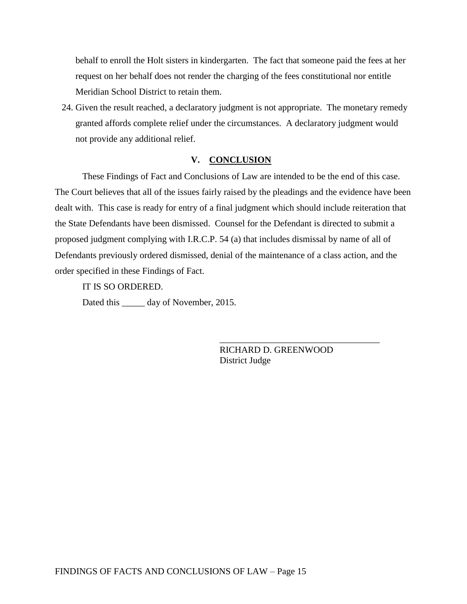behalf to enroll the Holt sisters in kindergarten. The fact that someone paid the fees at her request on her behalf does not render the charging of the fees constitutional nor entitle Meridian School District to retain them.

24. Given the result reached, a declaratory judgment is not appropriate. The monetary remedy granted affords complete relief under the circumstances. A declaratory judgment would not provide any additional relief.

#### **V. CONCLUSION**

These Findings of Fact and Conclusions of Law are intended to be the end of this case. The Court believes that all of the issues fairly raised by the pleadings and the evidence have been dealt with. This case is ready for entry of a final judgment which should include reiteration that the State Defendants have been dismissed. Counsel for the Defendant is directed to submit a proposed judgment complying with I.R.C.P. 54 (a) that includes dismissal by name of all of Defendants previously ordered dismissed, denial of the maintenance of a class action, and the order specified in these Findings of Fact.

IT IS SO ORDERED.

Dated this day of November, 2015.

RICHARD D. GREENWOOD District Judge

\_\_\_\_\_\_\_\_\_\_\_\_\_\_\_\_\_\_\_\_\_\_\_\_\_\_\_\_\_\_\_\_\_\_\_